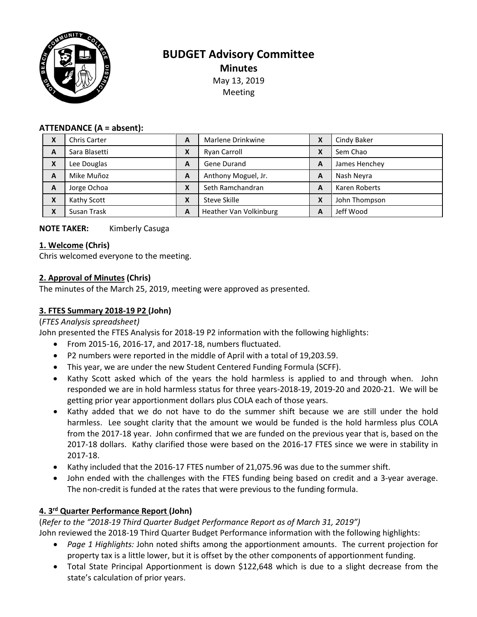

# **BUDGET Advisory Committee Minutes** May 13, 2019 Meeting

#### **ATTENDANCE (A = absent):**

| X                         | <b>Chris Carter</b> | A                | Marlene Drinkwine      | X | Cindy Baker   |
|---------------------------|---------------------|------------------|------------------------|---|---------------|
| A                         | Sara Blasetti       | Χ                | Ryan Carroll           | X | Sem Chao      |
| $\boldsymbol{\mathsf{x}}$ | Lee Douglas         | A                | Gene Durand            | A | James Henchey |
| A                         | Mike Muñoz          | A                | Anthony Moguel, Jr.    | A | Nash Neyra    |
| A                         | Jorge Ochoa         | $\mathbf v$<br>л | Seth Ramchandran       | A | Karen Roberts |
| X                         | Kathy Scott         | Χ                | Steve Skille           | X | John Thompson |
| $\boldsymbol{\mathsf{x}}$ | Susan Trask         | A                | Heather Van Volkinburg | A | Jeff Wood     |

#### **NOTE TAKER:** Kimberly Casuga

#### **1. Welcome (Chris)**

Chris welcomed everyone to the meeting.

#### **2. Approval of Minutes (Chris)**

The minutes of the March 25, 2019, meeting were approved as presented.

# **3. FTES Summary 2018-19 P2 (John)**

#### (*FTES Analysis spreadsheet)*

John presented the FTES Analysis for 2018-19 P2 information with the following highlights:

- From 2015-16, 2016-17, and 2017-18, numbers fluctuated.
- P2 numbers were reported in the middle of April with a total of 19,203.59.
- This year, we are under the new Student Centered Funding Formula (SCFF).
- Kathy Scott asked which of the years the hold harmless is applied to and through when. John responded we are in hold harmless status for three years-2018-19, 2019-20 and 2020-21. We will be getting prior year apportionment dollars plus COLA each of those years.
- Kathy added that we do not have to do the summer shift because we are still under the hold harmless. Lee sought clarity that the amount we would be funded is the hold harmless plus COLA from the 2017-18 year. John confirmed that we are funded on the previous year that is, based on the 2017-18 dollars. Kathy clarified those were based on the 2016-17 FTES since we were in stability in 2017-18.
- Kathy included that the 2016-17 FTES number of 21,075.96 was due to the summer shift.
- John ended with the challenges with the FTES funding being based on credit and a 3-year average. The non-credit is funded at the rates that were previous to the funding formula.

#### **4. 3rd Quarter Performance Report (John)**

(*Refer to the "2018-19 Third Quarter Budget Performance Report as of March 31, 2019")*

John reviewed the 2018-19 Third Quarter Budget Performance information with the following highlights:

- *Page 1 Highlights:* John noted shifts among the apportionment amounts. The current projection for property tax is a little lower, but it is offset by the other components of apportionment funding.
- Total State Principal Apportionment is down \$122,648 which is due to a slight decrease from the state's calculation of prior years.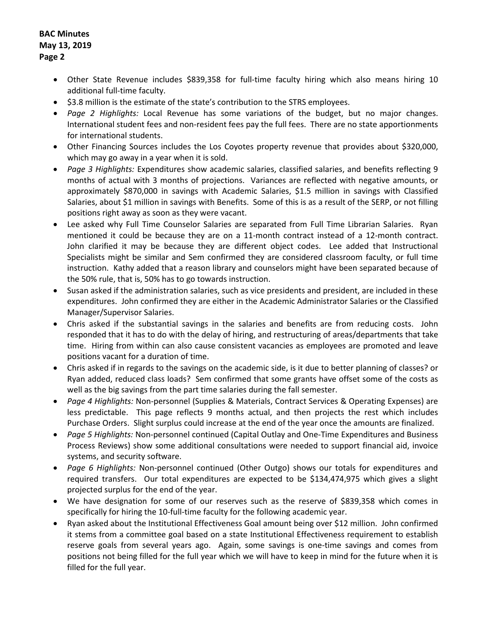## **BAC Minutes May 13, 2019 Page 2**

- Other State Revenue includes \$839,358 for full-time faculty hiring which also means hiring 10 additional full-time faculty.
- \$3.8 million is the estimate of the state's contribution to the STRS employees.
- *Page 2 Highlights:* Local Revenue has some variations of the budget, but no major changes. International student fees and non-resident fees pay the full fees. There are no state apportionments for international students.
- Other Financing Sources includes the Los Coyotes property revenue that provides about \$320,000, which may go away in a year when it is sold.
- *Page 3 Highlights:* Expenditures show academic salaries, classified salaries, and benefits reflecting 9 months of actual with 3 months of projections. Variances are reflected with negative amounts, or approximately \$870,000 in savings with Academic Salaries, \$1.5 million in savings with Classified Salaries, about \$1 million in savings with Benefits. Some of this is as a result of the SERP, or not filling positions right away as soon as they were vacant.
- Lee asked why Full Time Counselor Salaries are separated from Full Time Librarian Salaries. Ryan mentioned it could be because they are on a 11-month contract instead of a 12-month contract. John clarified it may be because they are different object codes. Lee added that Instructional Specialists might be similar and Sem confirmed they are considered classroom faculty, or full time instruction. Kathy added that a reason library and counselors might have been separated because of the 50% rule, that is, 50% has to go towards instruction.
- Susan asked if the administration salaries, such as vice presidents and president, are included in these expenditures. John confirmed they are either in the Academic Administrator Salaries or the Classified Manager/Supervisor Salaries.
- Chris asked if the substantial savings in the salaries and benefits are from reducing costs. John responded that it has to do with the delay of hiring, and restructuring of areas/departments that take time. Hiring from within can also cause consistent vacancies as employees are promoted and leave positions vacant for a duration of time.
- Chris asked if in regards to the savings on the academic side, is it due to better planning of classes? or Ryan added, reduced class loads? Sem confirmed that some grants have offset some of the costs as well as the big savings from the part time salaries during the fall semester.
- *Page 4 Highlights:* Non-personnel (Supplies & Materials, Contract Services & Operating Expenses) are less predictable. This page reflects 9 months actual, and then projects the rest which includes Purchase Orders. Slight surplus could increase at the end of the year once the amounts are finalized.
- *Page 5 Highlights:* Non-personnel continued (Capital Outlay and One-Time Expenditures and Business Process Reviews) show some additional consultations were needed to support financial aid, invoice systems, and security software.
- *Page 6 Highlights:* Non-personnel continued (Other Outgo) shows our totals for expenditures and required transfers. Our total expenditures are expected to be \$134,474,975 which gives a slight projected surplus for the end of the year.
- We have designation for some of our reserves such as the reserve of \$839,358 which comes in specifically for hiring the 10-full-time faculty for the following academic year.
- Ryan asked about the Institutional Effectiveness Goal amount being over \$12 million. John confirmed it stems from a committee goal based on a state Institutional Effectiveness requirement to establish reserve goals from several years ago. Again, some savings is one-time savings and comes from positions not being filled for the full year which we will have to keep in mind for the future when it is filled for the full year.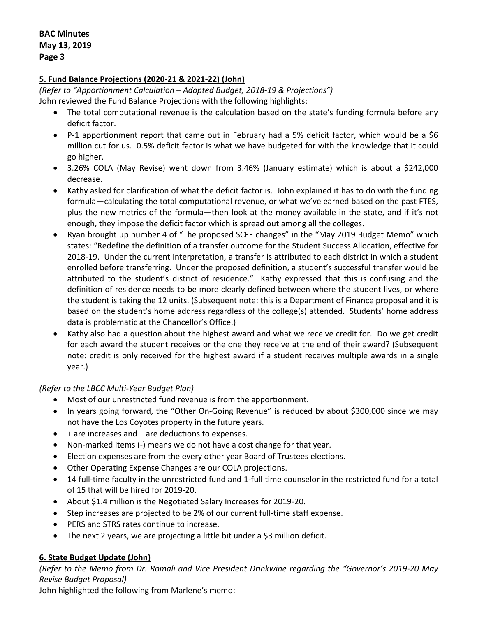# **5. Fund Balance Projections (2020-21 & 2021-22) (John)**

*(Refer to "Apportionment Calculation – Adopted Budget, 2018-19 & Projections")* John reviewed the Fund Balance Projections with the following highlights:

- The total computational revenue is the calculation based on the state's funding formula before any deficit factor.
- P-1 apportionment report that came out in February had a 5% deficit factor, which would be a \$6 million cut for us. 0.5% deficit factor is what we have budgeted for with the knowledge that it could go higher.
- 3.26% COLA (May Revise) went down from 3.46% (January estimate) which is about a \$242,000 decrease.
- Kathy asked for clarification of what the deficit factor is. John explained it has to do with the funding formula—calculating the total computational revenue, or what we've earned based on the past FTES, plus the new metrics of the formula—then look at the money available in the state, and if it's not enough, they impose the deficit factor which is spread out among all the colleges.
- Ryan brought up number 4 of "The proposed SCFF changes" in the "May 2019 Budget Memo" which states: "Redefine the definition of a transfer outcome for the Student Success Allocation, effective for 2018-19. Under the current interpretation, a transfer is attributed to each district in which a student enrolled before transferring. Under the proposed definition, a student's successful transfer would be attributed to the student's district of residence." Kathy expressed that this is confusing and the definition of residence needs to be more clearly defined between where the student lives, or where the student is taking the 12 units. (Subsequent note: this is a Department of Finance proposal and it is based on the student's home address regardless of the college(s) attended. Students' home address data is problematic at the Chancellor's Office.)
- Kathy also had a question about the highest award and what we receive credit for. Do we get credit for each award the student receives or the one they receive at the end of their award? (Subsequent note: credit is only received for the highest award if a student receives multiple awards in a single year.)

# *(Refer to the LBCC Multi-Year Budget Plan)*

- Most of our unrestricted fund revenue is from the apportionment.
- In years going forward, the "Other On-Going Revenue" is reduced by about \$300,000 since we may not have the Los Coyotes property in the future years.
- $\bullet$  + are increases and  $-$  are deductions to expenses.
- Non-marked items (-) means we do not have a cost change for that year.
- Election expenses are from the every other year Board of Trustees elections.
- Other Operating Expense Changes are our COLA projections.
- 14 full-time faculty in the unrestricted fund and 1-full time counselor in the restricted fund for a total of 15 that will be hired for 2019-20.
- About \$1.4 million is the Negotiated Salary Increases for 2019-20.
- Step increases are projected to be 2% of our current full-time staff expense.
- PERS and STRS rates continue to increase.
- The next 2 years, we are projecting a little bit under a \$3 million deficit.

# **6. State Budget Update (John)**

*(Refer to the Memo from Dr. Romali and Vice President Drinkwine regarding the "Governor's 2019-20 May Revise Budget Proposal)*

John highlighted the following from Marlene's memo: